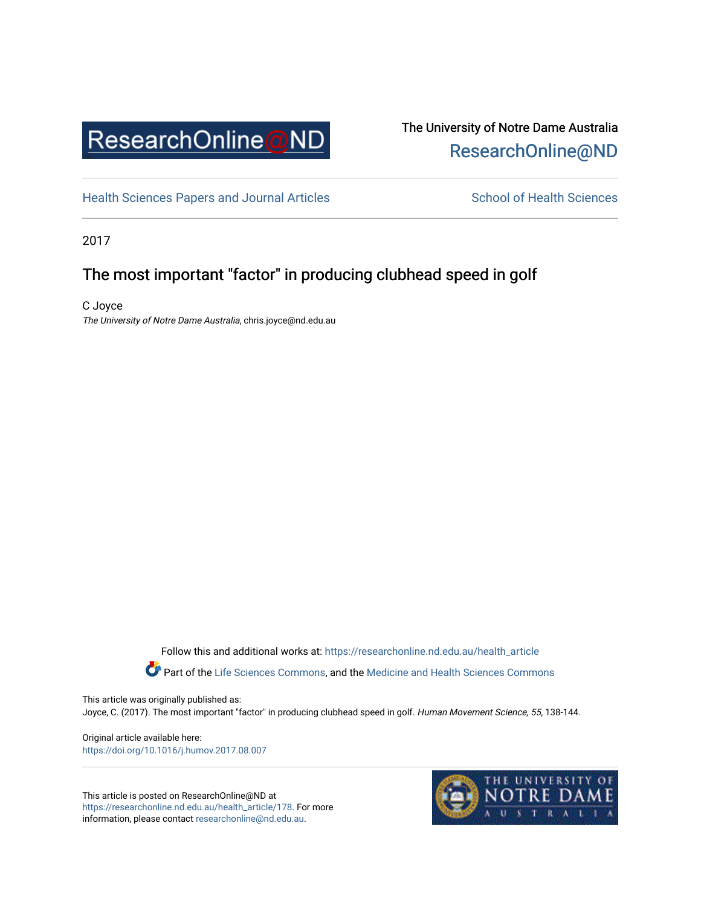

## The University of Notre Dame Australia [ResearchOnline@ND](https://researchonline.nd.edu.au/)

[Health Sciences Papers and Journal Articles](https://researchonline.nd.edu.au/health_article) School of Health Sciences

2017

## The most important "factor" in producing clubhead speed in golf

C Joyce The University of Notre Dame Australia, chris.joyce@nd.edu.au

Follow this and additional works at: [https://researchonline.nd.edu.au/health\\_article](https://researchonline.nd.edu.au/health_article?utm_source=researchonline.nd.edu.au%2Fhealth_article%2F178&utm_medium=PDF&utm_campaign=PDFCoverPages)

Part of the [Life Sciences Commons](http://network.bepress.com/hgg/discipline/1016?utm_source=researchonline.nd.edu.au%2Fhealth_article%2F178&utm_medium=PDF&utm_campaign=PDFCoverPages), and the Medicine and Health Sciences Commons

This article was originally published as: Joyce, C. (2017). The most important "factor" in producing clubhead speed in golf. Human Movement Science, 55, 138-144.

Original article available here: <https://doi.org/10.1016/j.humov.2017.08.007>

This article is posted on ResearchOnline@ND at [https://researchonline.nd.edu.au/health\\_article/178](https://researchonline.nd.edu.au/health_article/178). For more information, please contact [researchonline@nd.edu.au.](mailto:researchonline@nd.edu.au)

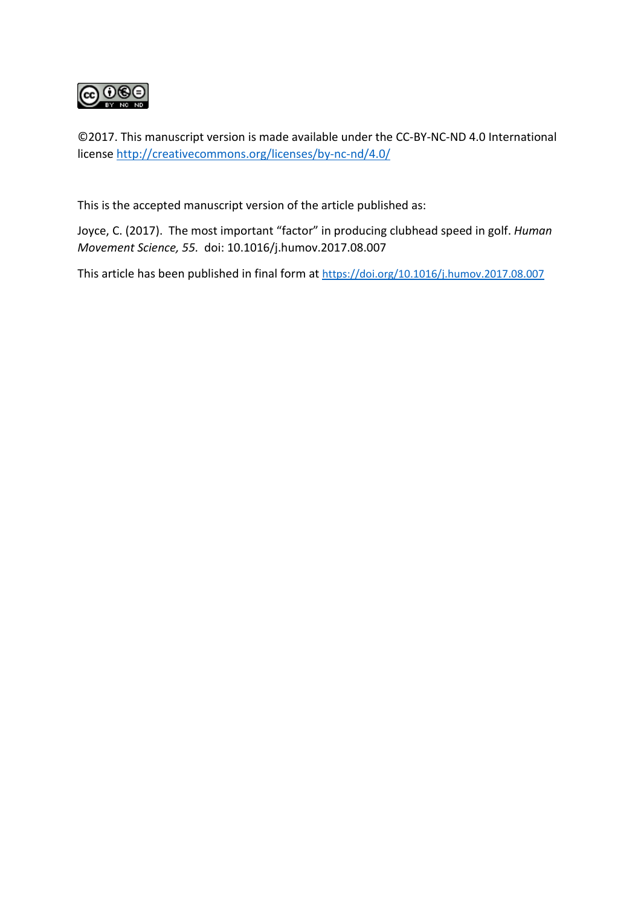

©2017. This manuscript version is made available under the CC-BY-NC-ND 4.0 International license<http://creativecommons.org/licenses/by-nc-nd/4.0/>

This is the accepted manuscript version of the article published as:

Joyce, C. (2017). The most important "factor" in producing clubhead speed in golf. *Human Movement Science, 55.* doi: 10.1016/j.humov.2017.08.007

This article has been published in final form at <https://doi.org/10.1016/j.humov.2017.08.007>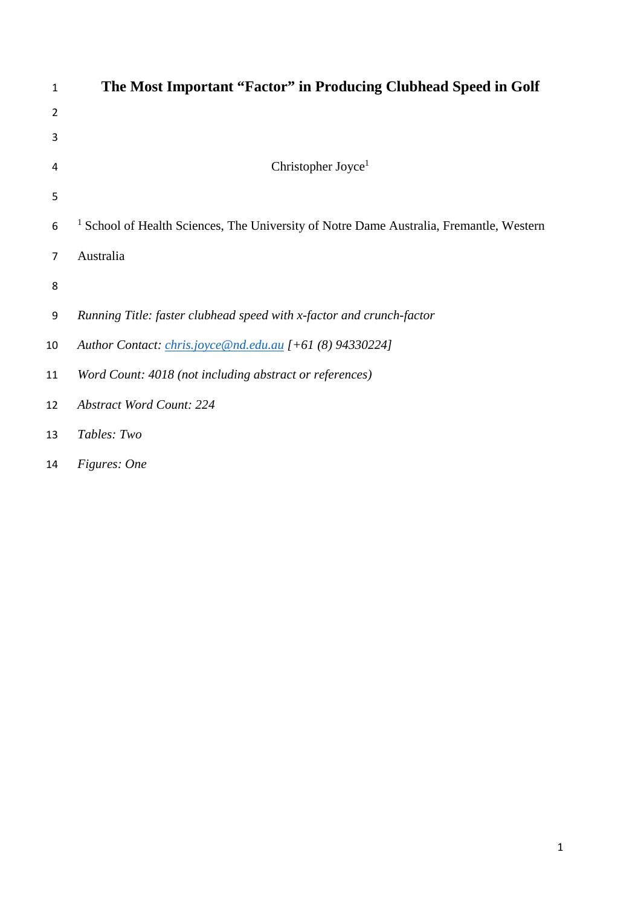| $\mathbf{1}$ | The Most Important "Factor" in Producing Clubhead Speed in Golf                                    |
|--------------|----------------------------------------------------------------------------------------------------|
| 2            |                                                                                                    |
| 3            |                                                                                                    |
| 4            | Christopher Joyce <sup>1</sup>                                                                     |
| 5            |                                                                                                    |
| 6            | <sup>1</sup> School of Health Sciences, The University of Notre Dame Australia, Fremantle, Western |
| 7            | Australia                                                                                          |
| 8            |                                                                                                    |
| 9            | Running Title: faster clubhead speed with x-factor and crunch-factor                               |
| 10           | Author Contact: <i>chris.joyce@nd.edu.au</i> [+61 (8) 94330224]                                    |
| 11           | Word Count: 4018 (not including abstract or references)                                            |
| 12           | <b>Abstract Word Count: 224</b>                                                                    |
| 13           | Tables: Two                                                                                        |
|              |                                                                                                    |

*Figures: One*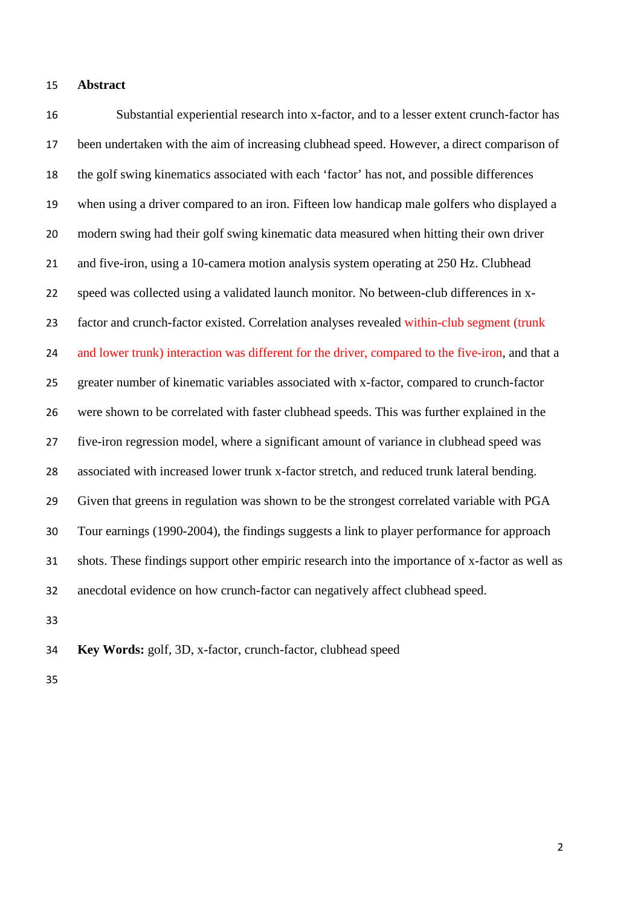#### **Abstract**

 Substantial experiential research into x-factor, and to a lesser extent crunch-factor has been undertaken with the aim of increasing clubhead speed. However, a direct comparison of the golf swing kinematics associated with each 'factor' has not, and possible differences when using a driver compared to an iron. Fifteen low handicap male golfers who displayed a modern swing had their golf swing kinematic data measured when hitting their own driver and five-iron, using a 10-camera motion analysis system operating at 250 Hz. Clubhead speed was collected using a validated launch monitor. No between-club differences in x- factor and crunch-factor existed. Correlation analyses revealed within-club segment (trunk 24 and lower trunk) interaction was different for the driver, compared to the five-iron, and that a greater number of kinematic variables associated with x-factor, compared to crunch-factor were shown to be correlated with faster clubhead speeds. This was further explained in the five-iron regression model, where a significant amount of variance in clubhead speed was associated with increased lower trunk x-factor stretch, and reduced trunk lateral bending. Given that greens in regulation was shown to be the strongest correlated variable with PGA Tour earnings (1990-2004), the findings suggests a link to player performance for approach shots. These findings support other empiric research into the importance of x-factor as well as anecdotal evidence on how crunch-factor can negatively affect clubhead speed.

**Key Words:** golf, 3D, x-factor, crunch-factor, clubhead speed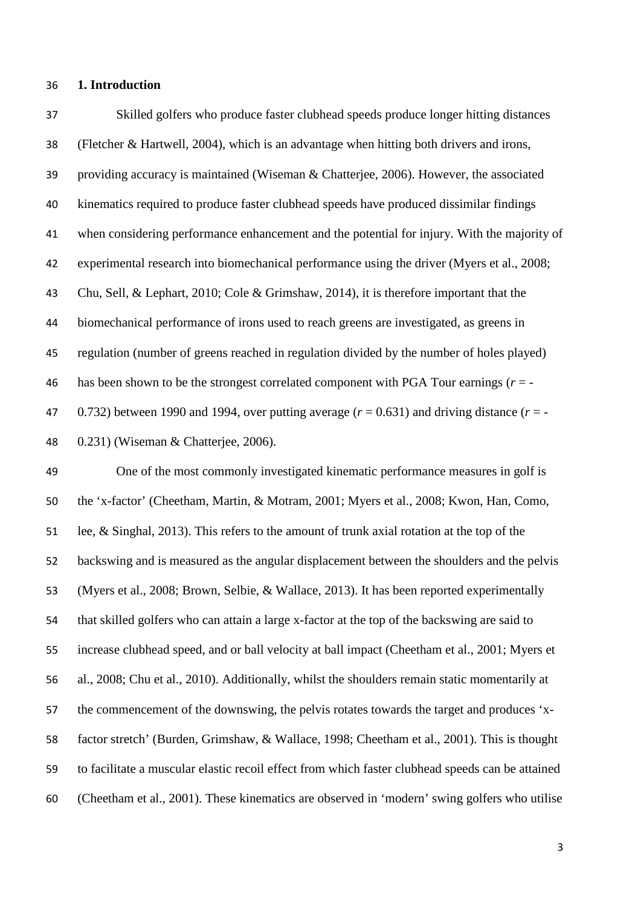#### **1. Introduction**

 Skilled golfers who produce faster clubhead speeds produce longer hitting distances (Fletcher & Hartwell, 2004), which is an advantage when hitting both drivers and irons, providing accuracy is maintained (Wiseman & Chatterjee, 2006). However, the associated kinematics required to produce faster clubhead speeds have produced dissimilar findings when considering performance enhancement and the potential for injury. With the majority of experimental research into biomechanical performance using the driver (Myers et al., 2008; Chu, Sell, & Lephart, 2010; Cole & Grimshaw, 2014), it is therefore important that the biomechanical performance of irons used to reach greens are investigated, as greens in regulation (number of greens reached in regulation divided by the number of holes played) has been shown to be the strongest correlated component with PGA Tour earnings (*r* = -  $(0.732)$  between 1990 and 1994, over putting average  $(r = 0.631)$  and driving distance  $(r = -1.631)$ 0.231) (Wiseman & Chatterjee, 2006).

 One of the most commonly investigated kinematic performance measures in golf is the 'x-factor' (Cheetham, Martin, & Motram, 2001; Myers et al., 2008; Kwon, Han, Como, lee, & Singhal, 2013). This refers to the amount of trunk axial rotation at the top of the backswing and is measured as the angular displacement between the shoulders and the pelvis (Myers et al., 2008; Brown, Selbie, & Wallace, 2013). It has been reported experimentally that skilled golfers who can attain a large x-factor at the top of the backswing are said to increase clubhead speed, and or ball velocity at ball impact (Cheetham et al., 2001; Myers et al., 2008; Chu et al., 2010). Additionally, whilst the shoulders remain static momentarily at the commencement of the downswing, the pelvis rotates towards the target and produces 'x- factor stretch' (Burden, Grimshaw, & Wallace, 1998; Cheetham et al., 2001). This is thought to facilitate a muscular elastic recoil effect from which faster clubhead speeds can be attained (Cheetham et al., 2001). These kinematics are observed in 'modern' swing golfers who utilise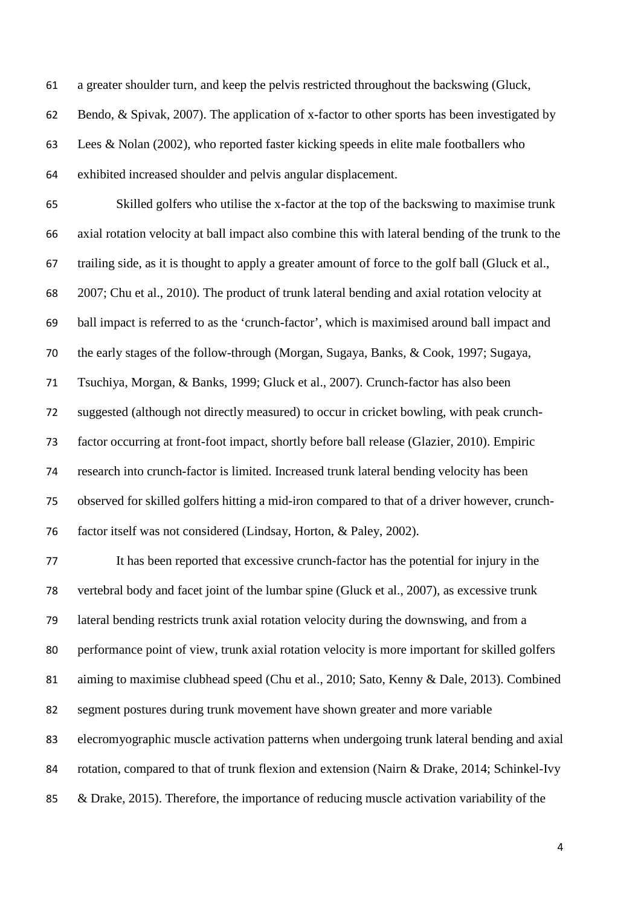a greater shoulder turn, and keep the pelvis restricted throughout the backswing (Gluck, Bendo, & Spivak, 2007). The application of x-factor to other sports has been investigated by Lees & Nolan (2002), who reported faster kicking speeds in elite male footballers who exhibited increased shoulder and pelvis angular displacement.

 Skilled golfers who utilise the x-factor at the top of the backswing to maximise trunk axial rotation velocity at ball impact also combine this with lateral bending of the trunk to the trailing side, as it is thought to apply a greater amount of force to the golf ball (Gluck et al., 2007; Chu et al., 2010). The product of trunk lateral bending and axial rotation velocity at ball impact is referred to as the 'crunch-factor', which is maximised around ball impact and the early stages of the follow-through (Morgan, Sugaya, Banks, & Cook, 1997; Sugaya, Tsuchiya, Morgan, & Banks, 1999; Gluck et al., 2007). Crunch-factor has also been suggested (although not directly measured) to occur in cricket bowling, with peak crunch- factor occurring at front-foot impact, shortly before ball release (Glazier, 2010). Empiric research into crunch-factor is limited. Increased trunk lateral bending velocity has been observed for skilled golfers hitting a mid-iron compared to that of a driver however, crunch-factor itself was not considered (Lindsay, Horton, & Paley, 2002).

 It has been reported that excessive crunch-factor has the potential for injury in the vertebral body and facet joint of the lumbar spine (Gluck et al., 2007), as excessive trunk lateral bending restricts trunk axial rotation velocity during the downswing, and from a performance point of view, trunk axial rotation velocity is more important for skilled golfers aiming to maximise clubhead speed (Chu et al., 2010; Sato, Kenny & Dale, 2013). Combined segment postures during trunk movement have shown greater and more variable elecromyographic muscle activation patterns when undergoing trunk lateral bending and axial rotation, compared to that of trunk flexion and extension (Nairn & Drake, 2014; Schinkel-Ivy 85 & Drake, 2015). Therefore, the importance of reducing muscle activation variability of the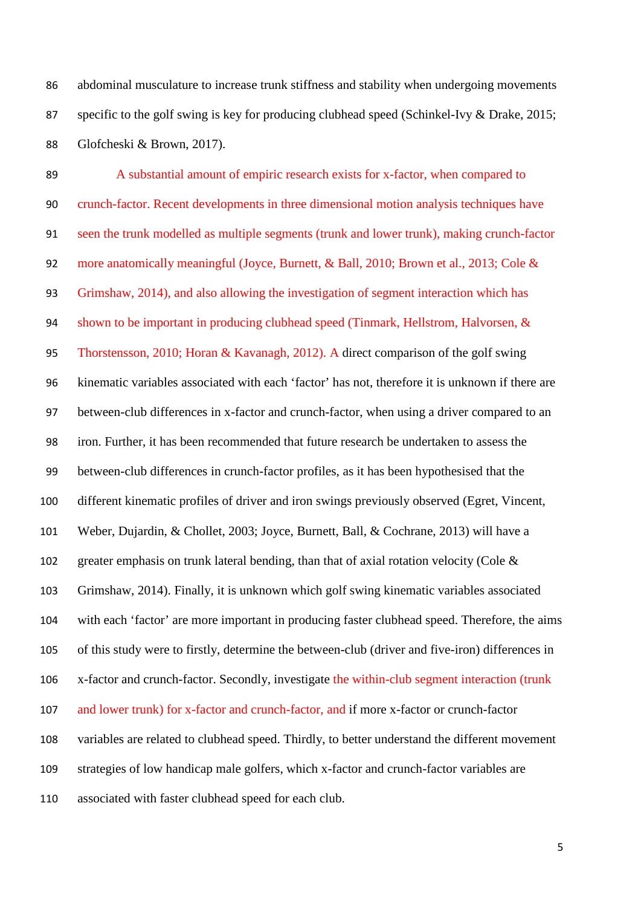abdominal musculature to increase trunk stiffness and stability when undergoing movements specific to the golf swing is key for producing clubhead speed (Schinkel-Ivy & Drake, 2015; Glofcheski & Brown, 2017).

 A substantial amount of empiric research exists for x-factor, when compared to crunch-factor. Recent developments in three dimensional motion analysis techniques have seen the trunk modelled as multiple segments (trunk and lower trunk), making crunch-factor 92 more anatomically meaningful (Joyce, Burnett, & Ball, 2010; Brown et al., 2013; Cole & Grimshaw, 2014), and also allowing the investigation of segment interaction which has shown to be important in producing clubhead speed (Tinmark, Hellstrom, Halvorsen, & Thorstensson, 2010; Horan & Kavanagh, 2012). A direct comparison of the golf swing kinematic variables associated with each 'factor' has not, therefore it is unknown if there are between-club differences in x-factor and crunch-factor, when using a driver compared to an iron. Further, it has been recommended that future research be undertaken to assess the between-club differences in crunch-factor profiles, as it has been hypothesised that the different kinematic profiles of driver and iron swings previously observed (Egret, Vincent, Weber, Dujardin, & Chollet, 2003; Joyce, Burnett, Ball, & Cochrane, 2013) will have a greater emphasis on trunk lateral bending, than that of axial rotation velocity (Cole & Grimshaw, 2014). Finally, it is unknown which golf swing kinematic variables associated with each 'factor' are more important in producing faster clubhead speed. Therefore, the aims of this study were to firstly, determine the between-club (driver and five-iron) differences in x-factor and crunch-factor. Secondly, investigate the within-club segment interaction (trunk and lower trunk) for x-factor and crunch-factor, and if more x-factor or crunch-factor variables are related to clubhead speed. Thirdly, to better understand the different movement strategies of low handicap male golfers, which x-factor and crunch-factor variables are associated with faster clubhead speed for each club.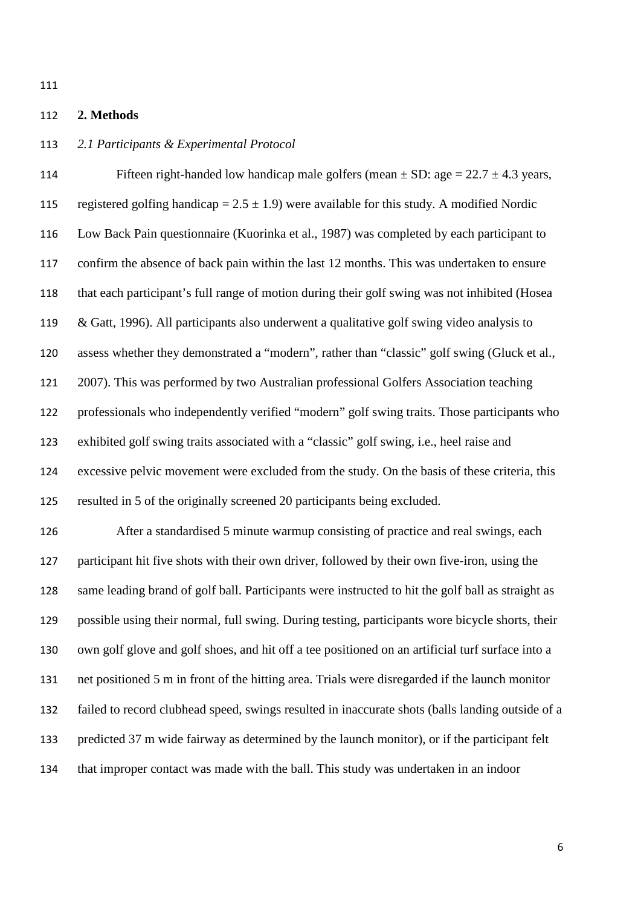### **2. Methods**

## *2.1 Participants & Experimental Protocol*

114 Fifteen right-handed low handicap male golfers (mean  $\pm$  SD: age = 22.7  $\pm$  4.3 years, 115 registered golfing handicap =  $2.5 \pm 1.9$ ) were available for this study. A modified Nordic Low Back Pain questionnaire (Kuorinka et al., 1987) was completed by each participant to confirm the absence of back pain within the last 12 months. This was undertaken to ensure that each participant's full range of motion during their golf swing was not inhibited (Hosea 119 & Gatt, 1996). All participants also underwent a qualitative golf swing video analysis to assess whether they demonstrated a "modern", rather than "classic" golf swing (Gluck et al., 2007). This was performed by two Australian professional Golfers Association teaching professionals who independently verified "modern" golf swing traits. Those participants who exhibited golf swing traits associated with a "classic" golf swing, i.e., heel raise and excessive pelvic movement were excluded from the study. On the basis of these criteria, this resulted in 5 of the originally screened 20 participants being excluded. After a standardised 5 minute warmup consisting of practice and real swings, each

 participant hit five shots with their own driver, followed by their own five-iron, using the same leading brand of golf ball. Participants were instructed to hit the golf ball as straight as possible using their normal, full swing. During testing, participants wore bicycle shorts, their own golf glove and golf shoes, and hit off a tee positioned on an artificial turf surface into a net positioned 5 m in front of the hitting area. Trials were disregarded if the launch monitor failed to record clubhead speed, swings resulted in inaccurate shots (balls landing outside of a predicted 37 m wide fairway as determined by the launch monitor), or if the participant felt that improper contact was made with the ball. This study was undertaken in an indoor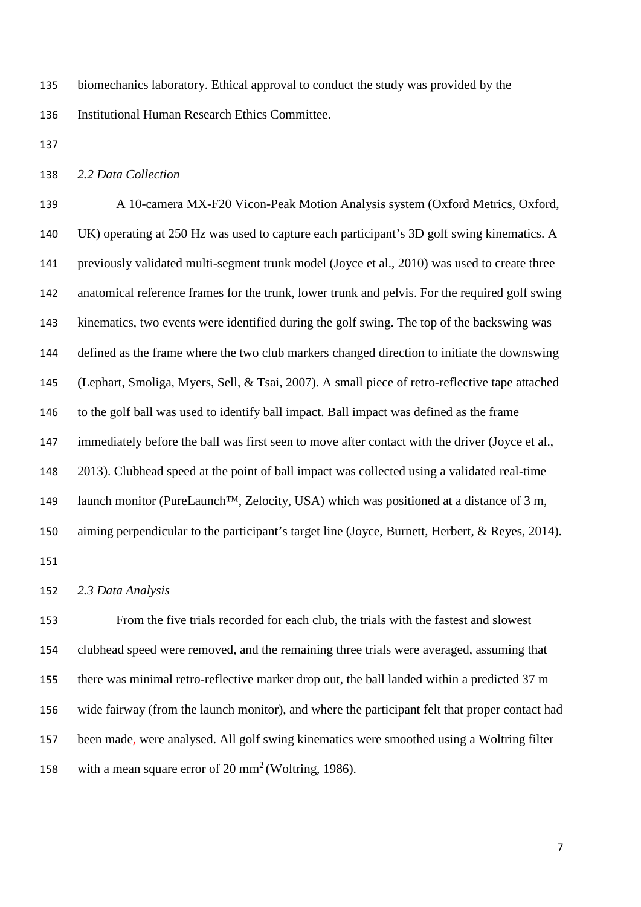biomechanics laboratory. Ethical approval to conduct the study was provided by the Institutional Human Research Ethics Committee.

*2.2 Data Collection*

 A 10-camera MX-F20 Vicon-Peak Motion Analysis system (Oxford Metrics, Oxford, UK) operating at 250 Hz was used to capture each participant's 3D golf swing kinematics. A previously validated multi-segment trunk model (Joyce et al., 2010) was used to create three anatomical reference frames for the trunk, lower trunk and pelvis. For the required golf swing kinematics, two events were identified during the golf swing. The top of the backswing was defined as the frame where the two club markers changed direction to initiate the downswing (Lephart, Smoliga, Myers, Sell, & Tsai, 2007). A small piece of retro-reflective tape attached to the golf ball was used to identify ball impact. Ball impact was defined as the frame 147 immediately before the ball was first seen to move after contact with the driver (Joyce et al., 2013). Clubhead speed at the point of ball impact was collected using a validated real-time 149 launch monitor (PureLaunch<sup>TM</sup>, Zelocity, USA) which was positioned at a distance of 3 m, aiming perpendicular to the participant's target line (Joyce, Burnett, Herbert, & Reyes, 2014). 

*2.3 Data Analysis*

 From the five trials recorded for each club, the trials with the fastest and slowest clubhead speed were removed, and the remaining three trials were averaged, assuming that there was minimal retro-reflective marker drop out, the ball landed within a predicted 37 m wide fairway (from the launch monitor), and where the participant felt that proper contact had been made, were analysed. All golf swing kinematics were smoothed using a Woltring filter 158 with a mean square error of  $20 \text{ mm}^2$  (Woltring, 1986).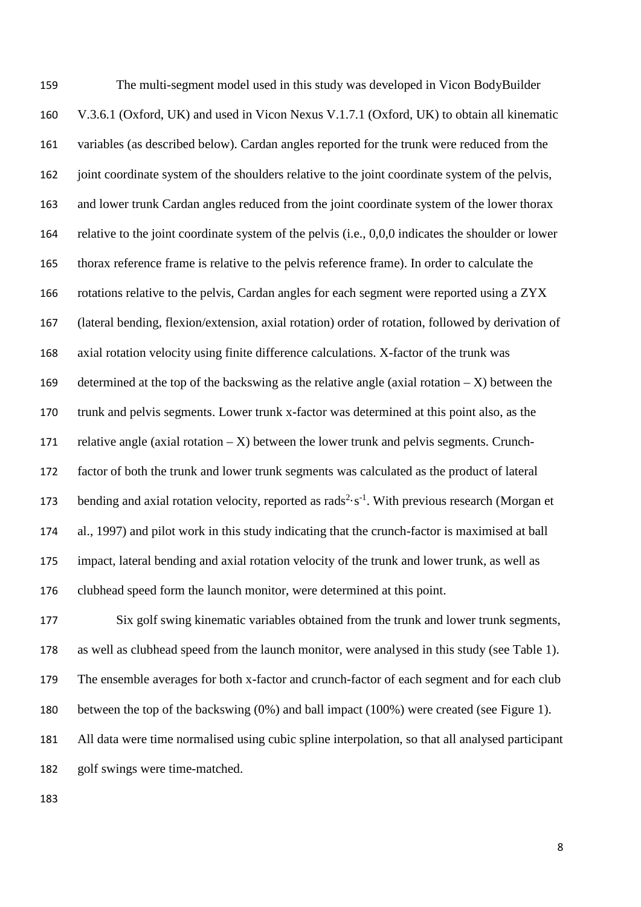The multi-segment model used in this study was developed in Vicon BodyBuilder V.3.6.1 (Oxford, UK) and used in Vicon Nexus V.1.7.1 (Oxford, UK) to obtain all kinematic variables (as described below). Cardan angles reported for the trunk were reduced from the 162 joint coordinate system of the shoulders relative to the joint coordinate system of the pelvis, and lower trunk Cardan angles reduced from the joint coordinate system of the lower thorax relative to the joint coordinate system of the pelvis (i.e., 0,0,0 indicates the shoulder or lower thorax reference frame is relative to the pelvis reference frame). In order to calculate the rotations relative to the pelvis, Cardan angles for each segment were reported using a ZYX (lateral bending, flexion/extension, axial rotation) order of rotation, followed by derivation of axial rotation velocity using finite difference calculations. X-factor of the trunk was 169 determined at the top of the backswing as the relative angle (axial rotation  $- X$ ) between the trunk and pelvis segments. Lower trunk x-factor was determined at this point also, as the 171 relative angle (axial rotation  $- X$ ) between the lower trunk and pelvis segments. Crunch- factor of both the trunk and lower trunk segments was calculated as the product of lateral 173 bending and axial rotation velocity, reported as rads<sup>2</sup> $\cdot$  s<sup>-1</sup>. With previous research (Morgan et al., 1997) and pilot work in this study indicating that the crunch-factor is maximised at ball impact, lateral bending and axial rotation velocity of the trunk and lower trunk, as well as clubhead speed form the launch monitor, were determined at this point.

 Six golf swing kinematic variables obtained from the trunk and lower trunk segments, as well as clubhead speed from the launch monitor, were analysed in this study (see Table 1). The ensemble averages for both x-factor and crunch-factor of each segment and for each club between the top of the backswing (0%) and ball impact (100%) were created (see Figure 1). All data were time normalised using cubic spline interpolation, so that all analysed participant golf swings were time-matched.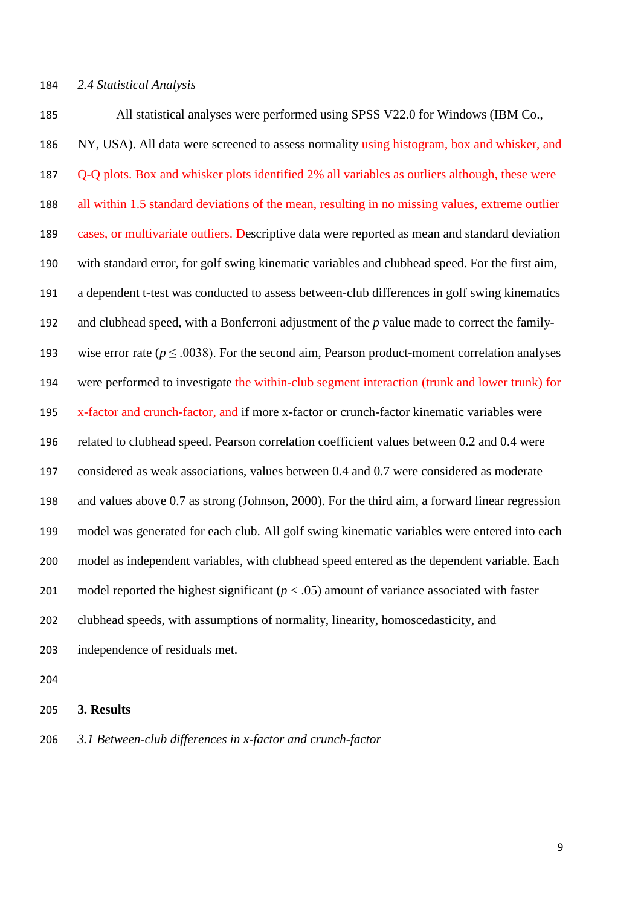All statistical analyses were performed using SPSS V22.0 for Windows (IBM Co., NY, USA). All data were screened to assess normality using histogram, box and whisker, and Q-Q plots. Box and whisker plots identified 2% all variables as outliers although, these were all within 1.5 standard deviations of the mean, resulting in no missing values, extreme outlier cases, or multivariate outliers. Descriptive data were reported as mean and standard deviation with standard error, for golf swing kinematic variables and clubhead speed. For the first aim, a dependent t-test was conducted to assess between-club differences in golf swing kinematics and clubhead speed, with a Bonferroni adjustment of the *p* value made to correct the family-193 wise error rate ( $p \le 0.0038$ ). For the second aim, Pearson product-moment correlation analyses were performed to investigate the within-club segment interaction (trunk and lower trunk) for 195 x-factor and crunch-factor, and if more x-factor or crunch-factor kinematic variables were related to clubhead speed. Pearson correlation coefficient values between 0.2 and 0.4 were considered as weak associations, values between 0.4 and 0.7 were considered as moderate and values above 0.7 as strong (Johnson, 2000). For the third aim, a forward linear regression model was generated for each club. All golf swing kinematic variables were entered into each model as independent variables, with clubhead speed entered as the dependent variable. Each 201 model reported the highest significant  $(p < .05)$  amount of variance associated with faster clubhead speeds, with assumptions of normality, linearity, homoscedasticity, and independence of residuals met.

#### **3. Results**

*3.1 Between-club differences in x-factor and crunch-factor*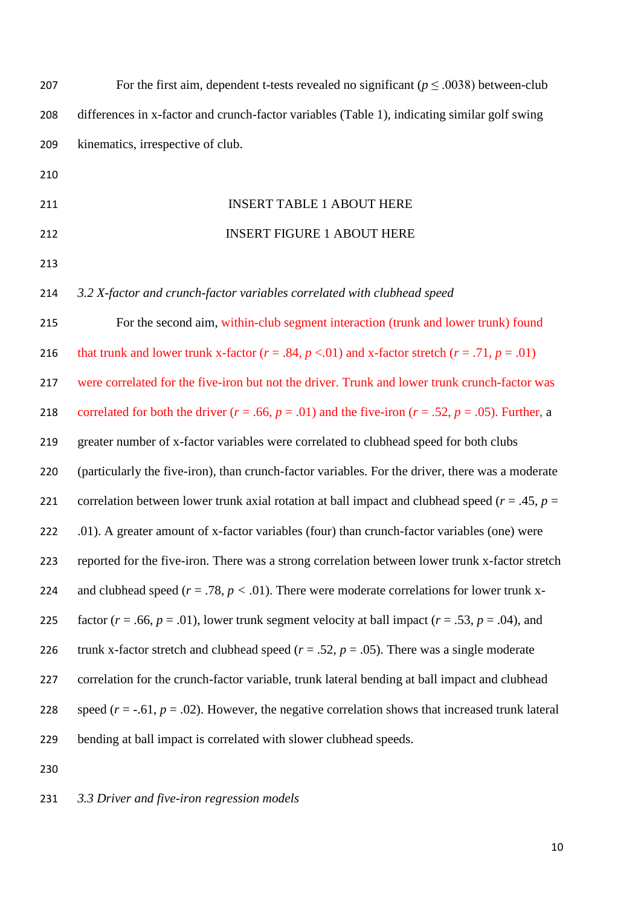| 207 | For the first aim, dependent t-tests revealed no significant ( $p \le 0.0038$ ) between-club                 |
|-----|--------------------------------------------------------------------------------------------------------------|
| 208 | differences in x-factor and crunch-factor variables (Table 1), indicating similar golf swing                 |
| 209 | kinematics, irrespective of club.                                                                            |
| 210 |                                                                                                              |
| 211 | <b>INSERT TABLE 1 ABOUT HERE</b>                                                                             |
| 212 | <b>INSERT FIGURE 1 ABOUT HERE</b>                                                                            |
| 213 |                                                                                                              |
| 214 | 3.2 X-factor and crunch-factor variables correlated with clubhead speed                                      |
| 215 | For the second aim, within-club segment interaction (trunk and lower trunk) found                            |
| 216 | that trunk and lower trunk x-factor ( $r = .84$ , $p < .01$ ) and x-factor stretch ( $r = .71$ , $p = .01$ ) |
| 217 | were correlated for the five-iron but not the driver. Trunk and lower trunk crunch-factor was                |
| 218 | correlated for both the driver $(r = .66, p = .01)$ and the five-iron $(r = .52, p = .05)$ . Further, a      |
| 219 | greater number of x-factor variables were correlated to clubhead speed for both clubs                        |
| 220 | (particularly the five-iron), than crunch-factor variables. For the driver, there was a moderate             |
| 221 | correlation between lower trunk axial rotation at ball impact and clubhead speed ( $r = .45$ , $p =$         |
| 222 | .01). A greater amount of x-factor variables (four) than crunch-factor variables (one) were                  |
| 223 | reported for the five-iron. There was a strong correlation between lower trunk x-factor stretch              |
| 224 | and clubhead speed ( $r = .78$ , $p < .01$ ). There were moderate correlations for lower trunk x-            |
| 225 | factor ( $r = .66$ , $p = .01$ ), lower trunk segment velocity at ball impact ( $r = .53$ , $p = .04$ ), and |
| 226 | trunk x-factor stretch and clubhead speed ( $r = .52$ , $p = .05$ ). There was a single moderate             |
| 227 | correlation for the crunch-factor variable, trunk lateral bending at ball impact and clubhead                |
| 228 | speed ( $r = -0.61$ , $p = 0.02$ ). However, the negative correlation shows that increased trunk lateral     |
| 229 | bending at ball impact is correlated with slower clubhead speeds.                                            |
| 230 |                                                                                                              |

# *3.3 Driver and five-iron regression models*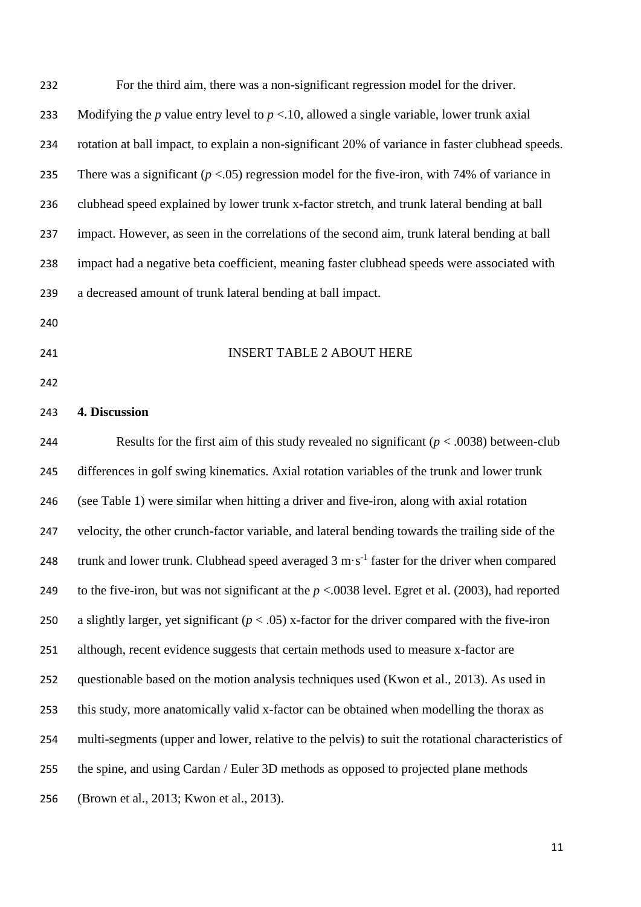| 232 | For the third aim, there was a non-significant regression model for the driver.                                      |
|-----|----------------------------------------------------------------------------------------------------------------------|
| 233 | Modifying the $p$ value entry level to $p < 10$ , allowed a single variable, lower trunk axial                       |
| 234 | rotation at ball impact, to explain a non-significant 20% of variance in faster clubhead speeds.                     |
| 235 | There was a significant ( $p < 0.05$ ) regression model for the five-iron, with 74% of variance in                   |
| 236 | clubhead speed explained by lower trunk x-factor stretch, and trunk lateral bending at ball                          |
| 237 | impact. However, as seen in the correlations of the second aim, trunk lateral bending at ball                        |
| 238 | impact had a negative beta coefficient, meaning faster clubhead speeds were associated with                          |
| 239 | a decreased amount of trunk lateral bending at ball impact.                                                          |
| 240 |                                                                                                                      |
| 241 | <b>INSERT TABLE 2 ABOUT HERE</b>                                                                                     |
| 242 |                                                                                                                      |
| 243 | 4. Discussion                                                                                                        |
| 244 | Results for the first aim of this study revealed no significant ( $p < .0038$ ) between-club                         |
| 245 | differences in golf swing kinematics. Axial rotation variables of the trunk and lower trunk                          |
| 246 | (see Table 1) were similar when hitting a driver and five-iron, along with axial rotation                            |
| 247 | velocity, the other crunch-factor variable, and lateral bending towards the trailing side of the                     |
| 248 | trunk and lower trunk. Clubhead speed averaged $3 \text{ m} \cdot \text{s}^{-1}$ faster for the driver when compared |
| 249 | to the five-iron, but was not significant at the $p < 0.0038$ level. Egret et al. (2003), had reported               |
| 250 | a slightly larger, yet significant ( $p < .05$ ) x-factor for the driver compared with the five-iron                 |
| 251 | although, recent evidence suggests that certain methods used to measure x-factor are                                 |
| 252 | questionable based on the motion analysis techniques used (Kwon et al., 2013). As used in                            |
| 253 | this study, more anatomically valid x-factor can be obtained when modelling the thorax as                            |
| 254 | multi-segments (upper and lower, relative to the pelvis) to suit the rotational characteristics of                   |
| 255 | the spine, and using Cardan / Euler 3D methods as opposed to projected plane methods                                 |
| 256 | (Brown et al., 2013; Kwon et al., 2013).                                                                             |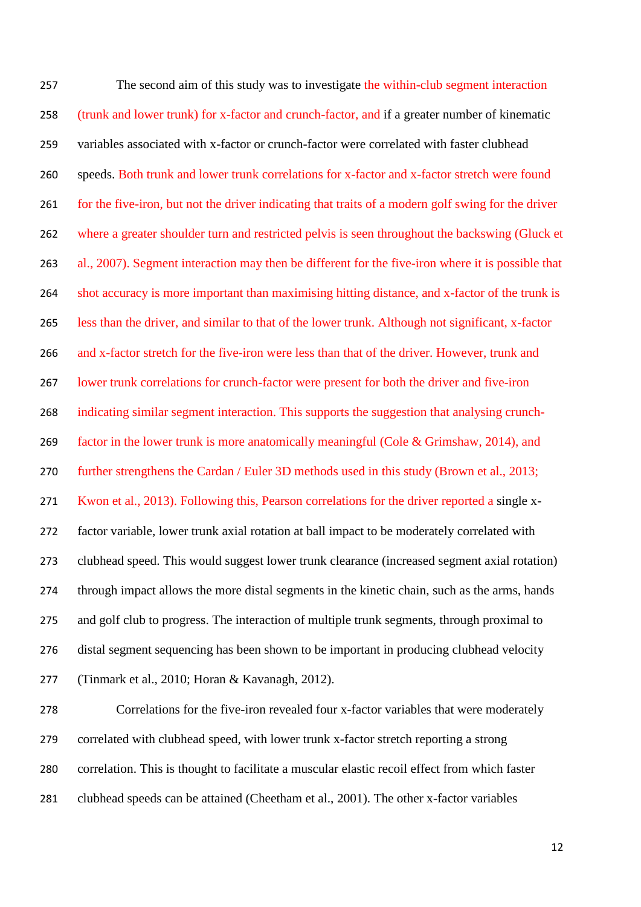The second aim of this study was to investigate the within-club segment interaction (trunk and lower trunk) for x-factor and crunch-factor, and if a greater number of kinematic variables associated with x-factor or crunch-factor were correlated with faster clubhead speeds. Both trunk and lower trunk correlations for x-factor and x-factor stretch were found 261 for the five-iron, but not the driver indicating that traits of a modern golf swing for the driver where a greater shoulder turn and restricted pelvis is seen throughout the backswing (Gluck et al., 2007). Segment interaction may then be different for the five-iron where it is possible that shot accuracy is more important than maximising hitting distance, and x-factor of the trunk is less than the driver, and similar to that of the lower trunk. Although not significant, x-factor and x-factor stretch for the five-iron were less than that of the driver. However, trunk and lower trunk correlations for crunch-factor were present for both the driver and five-iron indicating similar segment interaction. This supports the suggestion that analysing crunch- factor in the lower trunk is more anatomically meaningful (Cole & Grimshaw, 2014), and 270 further strengthens the Cardan / Euler 3D methods used in this study (Brown et al., 2013; Kwon et al., 2013). Following this, Pearson correlations for the driver reported a single x- factor variable, lower trunk axial rotation at ball impact to be moderately correlated with clubhead speed. This would suggest lower trunk clearance (increased segment axial rotation) through impact allows the more distal segments in the kinetic chain, such as the arms, hands and golf club to progress. The interaction of multiple trunk segments, through proximal to distal segment sequencing has been shown to be important in producing clubhead velocity (Tinmark et al., 2010; Horan & Kavanagh, 2012). Correlations for the five-iron revealed four x-factor variables that were moderately

correlation. This is thought to facilitate a muscular elastic recoil effect from which faster

clubhead speeds can be attained (Cheetham et al., 2001). The other x-factor variables

correlated with clubhead speed, with lower trunk x-factor stretch reporting a strong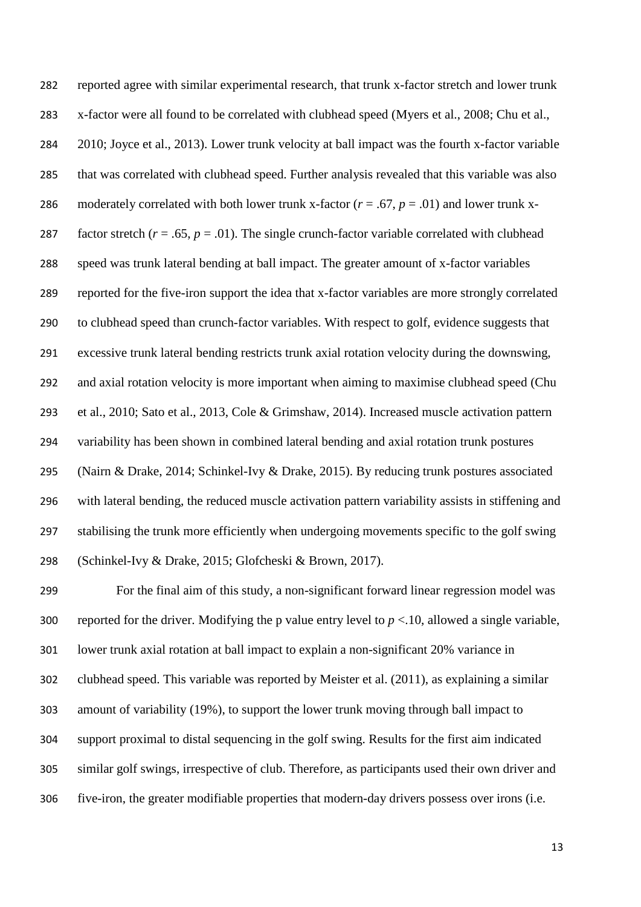reported agree with similar experimental research, that trunk x-factor stretch and lower trunk x-factor were all found to be correlated with clubhead speed (Myers et al., 2008; Chu et al., 2010; Joyce et al., 2013). Lower trunk velocity at ball impact was the fourth x-factor variable that was correlated with clubhead speed. Further analysis revealed that this variable was also 286 moderately correlated with both lower trunk x-factor  $(r = .67, p = .01)$  and lower trunk x-287 factor stretch  $(r = .65, p = .01)$ . The single crunch-factor variable correlated with clubhead speed was trunk lateral bending at ball impact. The greater amount of x-factor variables reported for the five-iron support the idea that x-factor variables are more strongly correlated to clubhead speed than crunch-factor variables. With respect to golf, evidence suggests that excessive trunk lateral bending restricts trunk axial rotation velocity during the downswing, and axial rotation velocity is more important when aiming to maximise clubhead speed (Chu et al., 2010; Sato et al., 2013, Cole & Grimshaw, 2014). Increased muscle activation pattern variability has been shown in combined lateral bending and axial rotation trunk postures (Nairn & Drake, 2014; Schinkel-Ivy & Drake, 2015). By reducing trunk postures associated with lateral bending, the reduced muscle activation pattern variability assists in stiffening and stabilising the trunk more efficiently when undergoing movements specific to the golf swing (Schinkel-Ivy & Drake, 2015; Glofcheski & Brown, 2017).

 For the final aim of this study, a non-significant forward linear regression model was 300 reported for the driver. Modifying the p value entry level to  $p < 10$ , allowed a single variable, lower trunk axial rotation at ball impact to explain a non-significant 20% variance in clubhead speed. This variable was reported by Meister et al. (2011), as explaining a similar amount of variability (19%), to support the lower trunk moving through ball impact to support proximal to distal sequencing in the golf swing. Results for the first aim indicated similar golf swings, irrespective of club. Therefore, as participants used their own driver and five-iron, the greater modifiable properties that modern-day drivers possess over irons (i.e.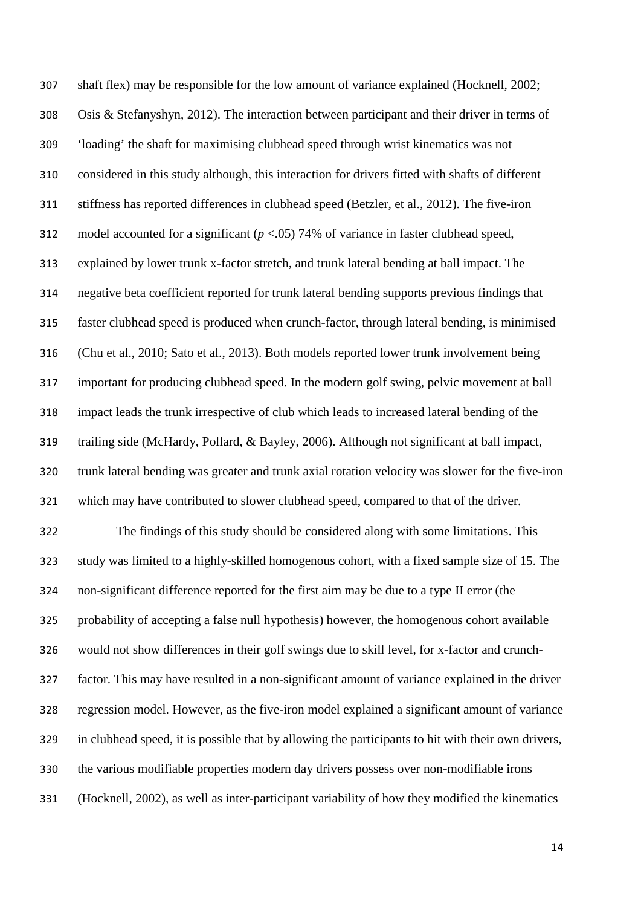shaft flex) may be responsible for the low amount of variance explained (Hocknell, 2002; Osis & Stefanyshyn, 2012). The interaction between participant and their driver in terms of 'loading' the shaft for maximising clubhead speed through wrist kinematics was not considered in this study although, this interaction for drivers fitted with shafts of different stiffness has reported differences in clubhead speed (Betzler, et al., 2012). The five-iron model accounted for a significant (*p* <.05) 74% of variance in faster clubhead speed, explained by lower trunk x-factor stretch, and trunk lateral bending at ball impact. The negative beta coefficient reported for trunk lateral bending supports previous findings that faster clubhead speed is produced when crunch-factor, through lateral bending, is minimised (Chu et al., 2010; Sato et al., 2013). Both models reported lower trunk involvement being important for producing clubhead speed. In the modern golf swing, pelvic movement at ball impact leads the trunk irrespective of club which leads to increased lateral bending of the trailing side (McHardy, Pollard, & Bayley, 2006). Although not significant at ball impact, trunk lateral bending was greater and trunk axial rotation velocity was slower for the five-iron which may have contributed to slower clubhead speed, compared to that of the driver. The findings of this study should be considered along with some limitations. This study was limited to a highly-skilled homogenous cohort, with a fixed sample size of 15. The non-significant difference reported for the first aim may be due to a type II error (the probability of accepting a false null hypothesis) however, the homogenous cohort available would not show differences in their golf swings due to skill level, for x-factor and crunch- factor. This may have resulted in a non-significant amount of variance explained in the driver regression model. However, as the five-iron model explained a significant amount of variance in clubhead speed, it is possible that by allowing the participants to hit with their own drivers, the various modifiable properties modern day drivers possess over non-modifiable irons (Hocknell, 2002), as well as inter-participant variability of how they modified the kinematics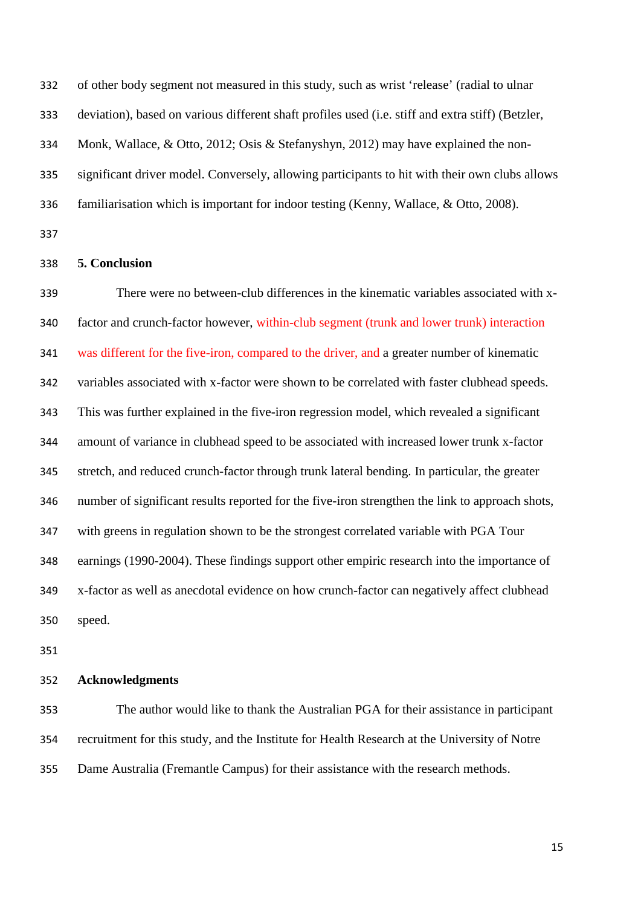of other body segment not measured in this study, such as wrist 'release' (radial to ulnar

deviation), based on various different shaft profiles used (i.e. stiff and extra stiff) (Betzler,

Monk, Wallace, & Otto, 2012; Osis & Stefanyshyn, 2012) may have explained the non-

significant driver model. Conversely, allowing participants to hit with their own clubs allows

familiarisation which is important for indoor testing (Kenny, Wallace, & Otto, 2008).

### **5. Conclusion**

 There were no between-club differences in the kinematic variables associated with x- factor and crunch-factor however, within-club segment (trunk and lower trunk) interaction was different for the five-iron, compared to the driver, and a greater number of kinematic variables associated with x-factor were shown to be correlated with faster clubhead speeds. This was further explained in the five-iron regression model, which revealed a significant amount of variance in clubhead speed to be associated with increased lower trunk x-factor stretch, and reduced crunch-factor through trunk lateral bending. In particular, the greater number of significant results reported for the five-iron strengthen the link to approach shots, with greens in regulation shown to be the strongest correlated variable with PGA Tour earnings (1990-2004). These findings support other empiric research into the importance of x-factor as well as anecdotal evidence on how crunch-factor can negatively affect clubhead speed.

## **Acknowledgments**

 The author would like to thank the Australian PGA for their assistance in participant recruitment for this study, and the Institute for Health Research at the University of Notre Dame Australia (Fremantle Campus) for their assistance with the research methods.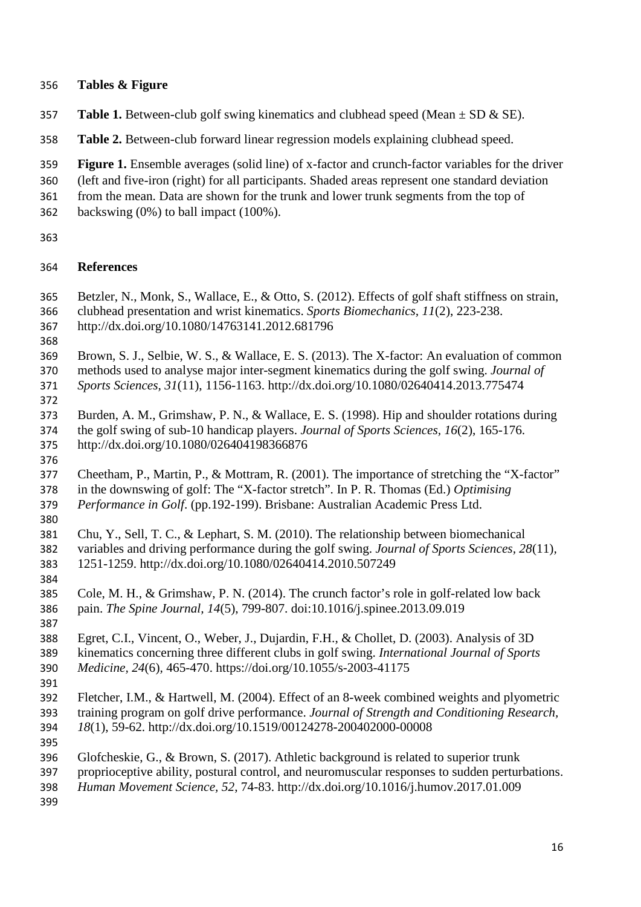## **Tables & Figure**

- **357 Table 1.** Between-club golf swing kinematics and clubhead speed (Mean  $\pm$  SD & SE).
- **Table 2.** Between-club forward linear regression models explaining clubhead speed.
- **Figure 1.** Ensemble averages (solid line) of x-factor and crunch-factor variables for the driver
- (left and five-iron (right) for all participants. Shaded areas represent one standard deviation
- from the mean. Data are shown for the trunk and lower trunk segments from the top of
- backswing (0%) to ball impact (100%).
- 

## **References**

- Betzler, N., Monk, S., Wallace, E., & Otto, S. (2012). Effects of golf shaft stiffness on strain,
- clubhead presentation and wrist kinematics. *Sports Biomechanics, 11*(2), 223-238.
- http://dx.doi.org/10.1080/14763141.2012.681796
- 
- Brown, S. J., Selbie, W. S., & Wallace, E. S. (2013). The X-factor: An evaluation of common methods used to analyse major inter-segment kinematics during the golf swing. *Journal of Sports Sciences, 31*(11), 1156-1163. http://dx.doi.org/10.1080/02640414.2013.775474
- 
- Burden, A. M., Grimshaw, P. N., & Wallace, E. S. (1998). Hip and shoulder rotations during the golf swing of sub-10 handicap players. *Journal of Sports Sciences, 16*(2), 165-176. http://dx.doi.org/10.1080/026404198366876
- 
- Cheetham, P., Martin, P., & Mottram, R. (2001). The importance of stretching the "X-factor" in the downswing of golf: The "X-factor stretch". In P. R. Thomas (Ed.) *Optimising Performance in Golf*. (pp.192-199). Brisbane: Australian Academic Press Ltd.
- 
- Chu, Y., Sell, T. C., & Lephart, S. M. (2010). The relationship between biomechanical variables and driving performance during the golf swing. *Journal of Sports Sciences, 28*(11)*,*  1251-1259. http://dx.doi.org/10.1080/02640414.2010.507249
- Cole, M. H., & Grimshaw, P. N. (2014). The crunch factor's role in golf-related low back pain. *The Spine Journal, 14*(5), 799-807. doi:10.1016/j.spinee.2013.09.019
- 
- Egret, C.I., Vincent, O., Weber, J., Dujardin, F.H., & Chollet, D. (2003). Analysis of 3D kinematics concerning three different clubs in golf swing. *International Journal of Sports Medicine, 24*(6)*,* 465-470. https://doi.org/10.1055/s-2003-41175
- 
- Fletcher, I.M., & Hartwell, M. (2004). Effect of an 8-week combined weights and plyometric training program on golf drive performance. *Journal of Strength and Conditioning Research, 18*(1), 59-62. http://dx.doi.org/10.1519/00124278-200402000-00008
- 
- Glofcheskie, G., & Brown, S. (2017). Athletic background is related to superior trunk
- proprioceptive ability, postural control, and neuromuscular responses to sudden perturbations.
- *Human Movement Science, 52*, 74-83. http://dx.doi.org/10.1016/j.humov.2017.01.009
-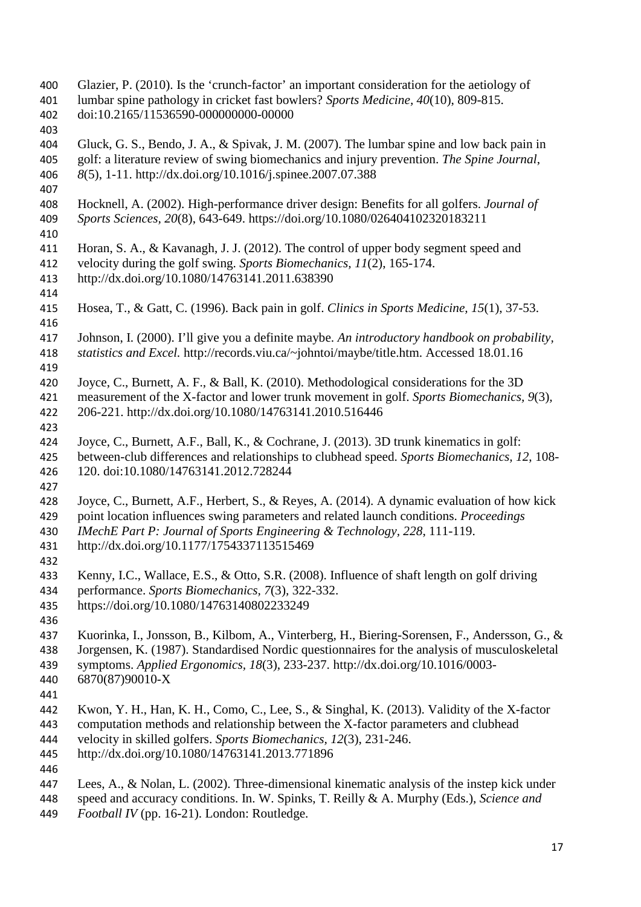- Glazier, P. (2010). Is the 'crunch-factor' an important consideration for the aetiology of lumbar spine pathology in cricket fast bowlers? *Sports Medicine, 40*(10), 809-815. doi:10.2165/11536590-000000000-00000 Gluck, G. S., Bendo, J. A., & Spivak, J. M. (2007). The lumbar spine and low back pain in golf: a literature review of swing biomechanics and injury prevention. *The Spine Journal*, *8*(5), 1-11. http://dx.doi.org/10.1016/j.spinee.2007.07.388 Hocknell, A. (2002). High-performance driver design: Benefits for all golfers. *Journal of Sports Sciences, 20*(8), 643-649. https://doi.org/10.1080/026404102320183211 Horan, S. A., & Kavanagh, J. J. (2012). The control of upper body segment speed and velocity during the golf swing. *Sports Biomechanics, 11*(2), 165-174. http://dx.doi.org/10.1080/14763141.2011.638390 Hosea, T., & Gatt, C. (1996). Back pain in golf. *Clinics in Sports Medicine, 15*(1), 37-53. Johnson, I. (2000). I'll give you a definite maybe. *An introductory handbook on probability, statistics and Excel.* http://records.viu.ca/~johntoi/maybe/title.htm. Accessed 18.01.16 Joyce, C., Burnett, A. F., & Ball, K. (2010). Methodological considerations for the 3D measurement of the X-factor and lower trunk movement in golf. *Sports Biomechanics, 9*(3)*,*  206-221. http://dx.doi.org/10.1080/14763141.2010.516446 Joyce, C., Burnett, A.F., Ball, K., & Cochrane, J. (2013). 3D trunk kinematics in golf: between-club differences and relationships to clubhead speed. *Sports Biomechanics, 12*, 108- 120. doi:10.1080/14763141.2012.728244 Joyce, C., Burnett, A.F., Herbert, S., & Reyes, A. (2014). A dynamic evaluation of how kick point location influences swing parameters and related launch conditions. *Proceedings IMechE Part P: Journal of Sports Engineering & Technology, 228*, 111-119. http://dx.doi.org/10.1177/1754337113515469 Kenny, I.C., Wallace, E.S., & Otto, S.R. (2008). Influence of shaft length on golf driving performance. *Sports Biomechanics, 7*(3)*,* 322-332. https://doi.org/10.1080/14763140802233249 Kuorinka, I., Jonsson, B., Kilbom, A., Vinterberg, H., Biering-Sorensen, F., Andersson, G., & Jorgensen, K. (1987). Standardised Nordic questionnaires for the analysis of musculoskeletal symptoms. *Applied Ergonomics, 18*(3), 233-237. http://dx.doi.org/10.1016/0003- 6870(87)90010-X Kwon, Y. H., Han, K. H., Como, C., Lee, S., & Singhal, K. (2013). Validity of the X-factor computation methods and relationship between the X-factor parameters and clubhead velocity in skilled golfers. *Sports Biomechanics, 12*(3), 231-246.
	- http://dx.doi.org/10.1080/14763141.2013.771896
	-
	- Lees, A., & Nolan, L. (2002). Three-dimensional kinematic analysis of the instep kick under
	- speed and accuracy conditions. In. W. Spinks, T. Reilly & A. Murphy (Eds.), *Science and*
	- *Football IV* (pp. 16-21). London: Routledge.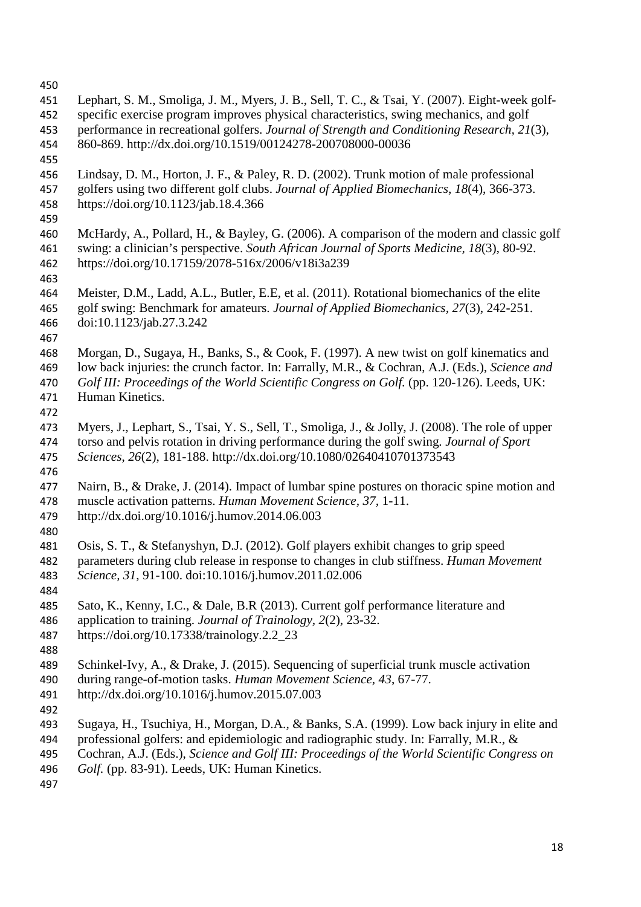- 
- Lephart, S. M., Smoliga, J. M., Myers, J. B., Sell, T. C., & Tsai, Y. (2007). Eight-week golf- specific exercise program improves physical characteristics, swing mechanics, and golf performance in recreational golfers. *Journal of Strength and Conditioning Research, 21*(3)*,*  860-869. http://dx.doi.org/10.1519/00124278-200708000-00036 Lindsay, D. M., Horton, J. F., & Paley, R. D. (2002). Trunk motion of male professional golfers using two different golf clubs. *Journal of Applied Biomechanics*, *18*(4), 366-373. https://doi.org/10.1123/jab.18.4.366 McHardy, A., Pollard, H., & Bayley, G. (2006). A comparison of the modern and classic golf swing: a clinician's perspective. *South African Journal of Sports Medicine, 18*(3), 80-92. https://doi.org/10.17159/2078-516x/2006/v18i3a239 Meister, D.M., Ladd, A.L., Butler, E.E, et al. (2011). Rotational biomechanics of the elite golf swing: Benchmark for amateurs. *Journal of Applied Biomechanics, 27*(3), 242-251. doi:10.1123/jab.27.3.242 Morgan, D., Sugaya, H., Banks, S., & Cook, F. (1997). A new twist on golf kinematics and low back injuries: the crunch factor. In: Farrally, M.R., & Cochran, A.J. (Eds.), *Science and Golf III: Proceedings of the World Scientific Congress on Golf.* (pp. 120-126). Leeds, UK: Human Kinetics. Myers, J., Lephart, S., Tsai, Y. S., Sell, T., Smoliga, J., & Jolly, J. (2008). The role of upper torso and pelvis rotation in driving performance during the golf swing. *Journal of Sport Sciences*, *26*(2), 181-188. http://dx.doi.org/10.1080/02640410701373543 Nairn, B., & Drake, J. (2014). Impact of lumbar spine postures on thoracic spine motion and muscle activation patterns. *Human Movement Science, 37,* 1-11. http://dx.doi.org/10.1016/j.humov.2014.06.003 Osis, S. T., & Stefanyshyn, D.J. (2012). Golf players exhibit changes to grip speed parameters during club release in response to changes in club stiffness. *Human Movement Science, 31*, 91-100. doi:10.1016/j.humov.2011.02.006 Sato, K., Kenny, I.C., & Dale, B.R (2013). Current golf performance literature and application to training. *Journal of Trainology, 2*(2), 23-32. https://doi.org/10.17338/trainology.2.2\_23 Schinkel-Ivy, A., & Drake, J. (2015). Sequencing of superficial trunk muscle activation during range-of-motion tasks. *Human Movement Science, 43*, 67-77. http://dx.doi.org/10.1016/j.humov.2015.07.003 Sugaya, H., Tsuchiya, H., Morgan, D.A., & Banks, S.A. (1999). Low back injury in elite and professional golfers: and epidemiologic and radiographic study. In: Farrally, M.R., & Cochran, A.J. (Eds.), *Science and Golf III: Proceedings of the World Scientific Congress on Golf.* (pp. 83-91). Leeds, UK: Human Kinetics.
-